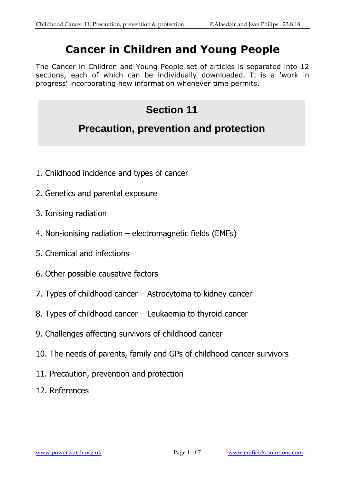## **Cancer in Children and Young People**

The Cancer in Children and Young People set of articles is separated into 12 sections, each of which can be individually downloaded. It is a 'work in progress' incorporating new information whenever time permits.

# **Section 11 Precaution, prevention and protection**

- 1. Childhood incidence and types of cancer
- 2. Genetics and parental exposure
- 3. Ionising radiation
- 4. Non-ionising radiation electromagnetic fields (EMFs)
- 5. Chemical and infections
- 6. Other possible causative factors
- 7. Types of childhood cancer Astrocytoma to kidney cancer
- 8. Types of childhood cancer Leukaemia to thyroid cancer
- 9. Challenges affecting survivors of childhood cancer
- 10. The needs of parents, family and GPs of childhood cancer survivors
- 11. Precaution, prevention and protection
- 12. References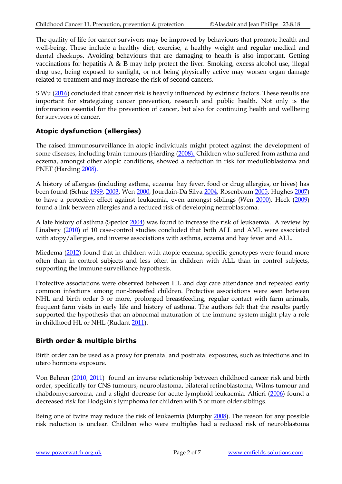The quality of life for cancer survivors may be improved by behaviours that promote health and well-being. These include a healthy diet, exercise, a healthy weight and regular medical and dental checkups. Avoiding behaviours that are damaging to health is also important. Getting vaccinations for hepatitis A & B may help protect the liver. Smoking, excess alcohol use, illegal drug use, being exposed to sunlight, or not being physically active may worsen organ damage related to treatment and may increase the risk of second cancers.

S Wu [\(2016\)](https://www.ncbi.nlm.nih.gov/pubmed/26675728) concluded that cancer risk is heavily influenced by extrinsic factors. These results are important for strategizing cancer prevention, research and public health. Not only is the information essential for the prevention of cancer, but also for continuing health and wellbeing for survivors of cancer.

## **Atopic dysfunction (allergies)**

The raised immunosurveillance in atopic individuals might protect against the development of some diseases, including brain tumours (Harding [\(2008\).](http://www.ncbi.nlm.nih.gov/pubmed/18042376?ordinalpos=2&itool=EntrezSystem2.PEntrez.Pubmed.Pubmed_ResultsPanel.Pubmed_RVDocSum) Children who suffered from asthma and eczema, amongst other atopic conditions, showed a reduction in risk for medulloblastoma and PNET (Harding [2008\).](http://www.ncbi.nlm.nih.gov/pubmed/18042376?ordinalpos=2&itool=EntrezSystem2.PEntrez.Pubmed.Pubmed_ResultsPanel.Pubmed_RVDocSum)

A history of allergies (including asthma, eczema hay fever, food or drug allergies, or hives) has been found (Schüz [1999,](http://www.ncbi.nlm.nih.gov/pubmed/10408870) [2003,](http://www.ncbi.nlm.nih.gov/pubmed/12673688) Wen [2000,](http://www.ncbi.nlm.nih.gov/pubmed/10843442) Jourdain-Da Silva [2004,](http://www.ncbi.nlm.nih.gov/pubmed/14710221) Rosenbaum [2005,](http://www.ncbi.nlm.nih.gov/pubmed/15787890) Hughes [2007\)](http://www.ncbi.nlm.nih.gov/pubmed/17390373) to have a protective effect against leukaemia, even amongst siblings (Wen [2000\)](http://www.ncbi.nlm.nih.gov/pubmed/10843442). Heck [\(2009\)](http://www.ncbi.nlm.nih.gov/pubmed/19159399) found a link between allergies and a reduced risk of developing neuroblastoma.

A late history of asthma (Spector [2004\)](http://www.ncbi.nlm.nih.gov/pubmed/14962726) was found to increase the risk of leukaemia. A review by Linabery [\(2010\)](http://www.ncbi.nlm.nih.gov/pubmed/20228139) of 10 case-control studies concluded that both ALL and AML were associated with atopy/allergies, and inverse associations with asthma, eczema and hay fever and ALL.

Miedema [\(2012\)](http://www.ncbi.nlm.nih.gov/pubmed/22134717) found that in children with atopic eczema, specific genotypes were found more often than in control subjects and less often in children with ALL than in control subjects, supporting the immune surveillance hypothesis.

Protective associations were observed between HL and day care attendance and repeated early common infections among non-breastfed children. Protective associations were seen between NHL and birth order 3 or more, prolonged breastfeeding, regular contact with farm animals, frequent farm visits in early life and history of asthma. The authors felt that the results partly supported the hypothesis that an abnormal maturation of the immune system might play a role in childhood HL or NHL (Rudant [2011\)](http://www.ncbi.nlm.nih.gov/pubmed/21170962).

## **Birth order & multiple births**

Birth order can be used as a proxy for prenatal and postnatal exposures, such as infections and in utero hormone exposure.

Von Behren [\(2010, 2011\)](http://www.ncbi.nlm.nih.gov/pubmed/20715170) found an inverse relationship between childhood cancer risk and birth order, specifically for CNS tumours, neuroblastoma, bilateral retinoblastoma, Wilms tumour and rhabdomyosarcoma, and a slight decrease for acute lymphoid leukaemia. Altieri [\(2006\)](http://www.ncbi.nlm.nih.gov/pubmed/16835324) found a decreased risk for Hodgkin's lymphoma for children with 5 or more older siblings.

Being one of twins may reduce the risk of leukaemia (Murphy [2008\)](http://www.ncbi.nlm.nih.gov/pubmed/18300317). The reason for any possible risk reduction is unclear. Children who were multiples had a reduced risk of neuroblastoma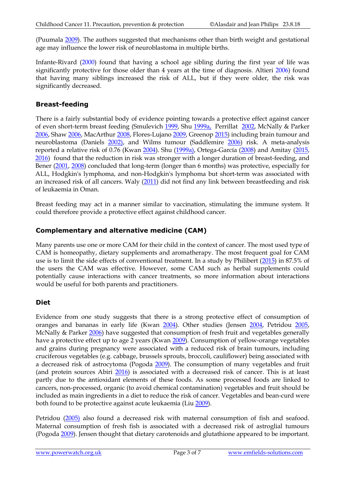(Puumala [2009\)](http://www.ncbi.nlm.nih.gov/pubmed/19124494). The authors suggested that mechanisms other than birth weight and gestational age may influence the lower risk of neuroblastoma in multiple births.

Infante-Rivard [\(2000\)](http://www.ncbi.nlm.nih.gov/pubmed/11076669) found that having a school age sibling during the first year of life was significantly protective for those older than 4 years at the time of diagnosis. Altieri [2006\)](http://www.ncbi.nlm.nih.gov/pubmed/16835324) found that having many siblings increased the risk of ALL, but if they were older, the risk was significantly decreased.

## **Breast-feeding**

There is a fairly substantial body of evidence pointing towards a protective effect against cancer of even short-term breast feeding (Smulevich [1999,](http://www.ncbi.nlm.nih.gov/pubmed/10597183) Shu [1999a,](http://www.ncbi.nlm.nih.gov/pubmed/10528028) Perrillat [2002,](http://www.ncbi.nlm.nih.gov/pubmed/11953850) McNally & Parker [2006,](http://www.ncbi.nlm.nih.gov/pubmed/16690516) Sha[w 2006,](http://www.ncbi.nlm.nih.gov/pubmed/17111258) MacArthu[r 2008,](http://www.ncbi.nlm.nih.gov/pubmed/18079130) Flores-Lujano [2009,](http://www.ncbi.nlm.nih.gov/pubmed/19707206) Greenop [2015\)](http://www.ncbi.nlm.nih.gov/pubmed/25646650) including brain tumour and neuroblastoma (Daniels [2002\),](http://www.ncbi.nlm.nih.gov/pubmed/12146844) and Wilms tumour (Saddlemire [2006\)](http://www.ncbi.nlm.nih.gov/pubmed/16633916) risk. A meta-analysis reported a relative risk of 0.76 (Kwan [2004\)](http://www.ncbi.nlm.nih.gov/pubmed/15561989). Shu [\(1999a\),](http://www.ncbi.nlm.nih.gov/pubmed/10528028) Ortega-García [\(2008\)](http://www.ncbi.nlm.nih.gov/pubmed/17999666) and Amitay [\(2015,](https://www.ncbi.nlm.nih.gov/pubmed/26030516) [2016\)](https://www.ncbi.nlm.nih.gov/pubmed/?term=27352124) found that the reduction in risk was stronger with a longer duration of breast-feeding, and Bener [\(2001,](http://www.ncbi.nlm.nih.gov/pubmed/11166151) [2008\)](http://www.ncbi.nlm.nih.gov/pubmed/18449131) concluded that long-term (longer than 6 months) was protective, especially for ALL, Hodgkin's lymphoma, and non-Hodgkin's lymphoma but short-term was associated with an increased risk of all cancers. Waly [\(2011\)](http://www.ncbi.nlm.nih.gov/pubmed/22292656) did not find any link between breastfeeding and risk of leukaemia in Oman.

Breast feeding may act in a manner similar to vaccination, stimulating the immune system. It could therefore provide a protective effect against childhood cancer.

## **Complementary and alternative medicine (CAM)**

Many parents use one or more CAM for their child in the context of cancer. The most used type of CAM is homeopathy, dietary supplements and aromatherapy. The most frequent goal for CAM use is to limit the side effects of conventional treatment. In a study by Philibert [\(2015\)](http://www.ncbi.nlm.nih.gov/pubmed/26387822) in 87.5% of the users the CAM was effective. However, some CAM such as herbal supplements could potentially cause interactions with cancer treatments, so more information about interactions would be useful for both parents and practitioners.

#### **Diet**

Evidence from one study suggests that there is a strong protective effect of consumption of oranges and bananas in early life (Kwan [2004\)](http://www.ncbi.nlm.nih.gov/pubmed/15561989). Other studies (Jensen [2004,](http://www.ncbi.nlm.nih.gov/pubmed/15280635) Petridou [2005,](http://www.ncbi.nlm.nih.gov/pubmed/16103440) McNally & Parker [2006\)](http://www.ncbi.nlm.nih.gov/pubmed/16690516) have suggested that consumption of fresh fruit and vegetables generally have a protective effect up to age 2 years (Kwan [2009\)](http://www.ncbi.nlm.nih.gov/pubmed/19618787). Consumption of yellow-orange vegetables and grains during pregnancy were associated with a reduced risk of brain tumours, including cruciferous vegetables (e.g. cabbage, brussels sprouts, broccoli, cauliflower) being associated with a decreased risk of astrocytoma (Pogoda [2009\)](http://www.ncbi.nlm.nih.gov/pubmed/19216997). The consumption of many vegetables and fruit (and protein sources Abiri [2016\)](https://www.ncbi.nlm.nih.gov/pubmed/27472187) is associated with a decreased risk of cancer. This is at least partly due to the antioxidant elements of these foods. As some processed foods are linked to cancers, non-processed, organic (to avoid chemical contamination) vegetables and fruit should be included as main ingredients in a diet to reduce the risk of cancer. Vegetables and bean-curd were both found to be protective against acute leukaemia (Liu [2009\)](http://www.ncbi.nlm.nih.gov/pubmed/19144145).

Petridou [\(2005\)](http://www.ncbi.nlm.nih.gov/pubmed/16103440) also found a decreased risk with maternal consumption of fish and seafood. Maternal consumption of fresh fish is associated with a decreased risk of astroglial tumours (Pogoda [2009\)](http://www.ncbi.nlm.nih.gov/pubmed/19216997). Jensen thought that dietary carotenoids and glutathione appeared to be important.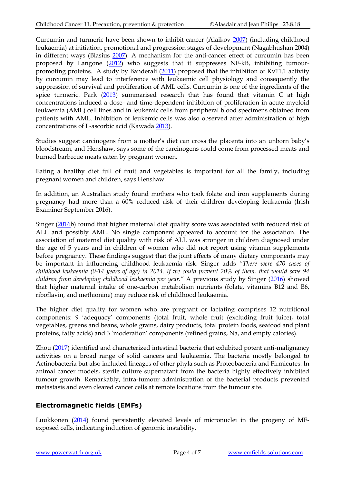Curcumin and turmeric have been shown to inhibit cancer (Alaikov [2007\)](http://www.ncbi.nlm.nih.gov/pubmed/17404048) (including childhood leukaemia) at initiation, promotional and progression stages of development (Nagabhushan 2004) in different ways (Blasius [2007\)](http://www.ncbi.nlm.nih.gov/pubmed/17404050). A mechanism for the anti-cancer effect of curcumin has been proposed by Langone [\(2012\)](http://www.ncbi.nlm.nih.gov/pubmed/21989768) who suggests that it suppresses NF-kB, inhibiting tumour-promoting proteins. A study by Banderali [\(2011\)](http://www.ncbi.nlm.nih.gov/pubmed/22179005) proposed that the inhibition of Kv11.1 activity by curcumin may lead to interference with leukaemic cell physiology and consequently the suppression of survival and proliferation of AML cells. Curcumin is one of the ingredients of the spice turmeric. Park [\(2013\)](https://www.ncbi.nlm.nih.gov/pubmed/24022818) summarised research that has found that vitamin C at high concentrations induced a dose- and time-dependent inhibition of proliferation in acute myeloid leukaemia (AML) cell lines and in leukemic cells from peripheral blood specimens obtained from patients with AML. Inhibition of leukemic cells was also observed after administration of high concentrations of L-ascorbic acid (Kawada [2013\)](https://www.ncbi.nlm.nih.gov/pubmed/23626851).

Studies suggest carcinogens from a mother's diet can cross the placenta into an unborn baby's bloodstream, and Henshaw, says some of the carcinogens could come from processed meats and burned barbecue meats eaten by pregnant women.

Eating a healthy diet full of fruit and vegetables is important for all the family, including pregnant women and children, says Henshaw.

In addition, an Australian study found mothers who took folate and iron supplements during pregnancy had more than a 60% reduced risk of their children developing leukaemia (Irish Examiner September 2016).

Singer [\(2016b](https://www.ncbi.nlm.nih.gov/pubmed/27725005)) found that higher maternal diet quality score was associated with reduced risk of ALL and possibly AML. No single component appeared to account for the association. The association of maternal diet quality with risk of ALL was stronger in children diagnosed under the age of 5 years and in children of women who did not report using vitamin supplements before pregnancy. These findings suggest that the joint effects of many dietary components may be important in influencing childhood leukaemia risk. Singer adds *"There were 470 cases of childhood leukaemia (0-14 years of age) in 2014. If we could prevent 20% of them, that would save 94 children from developing childhood leukaemia per year."* A previous study by Singer [\(2016\)](https://www.ncbi.nlm.nih.gov/pubmed/27294727) showed that higher maternal intake of one-carbon metabolism nutrients (folate, vitamins B12 and B6, riboflavin, and methionine) may reduce risk of childhood leukaemia.

The higher diet quality for women who are pregnant or lactating comprises 12 nutritional components: 9 'adequacy' components (total fruit, whole fruit (excluding fruit juice), total vegetables, greens and beans, whole grains, dairy products, total protein foods, seafood and plant proteins, fatty acids) and 3 'moderation' components (refined grains, Na, and empty calories).

Zhou [\(2017\)](https://www.ncbi.nlm.nih.gov/pubmed/28484095) identified and characterized intestinal bacteria that exhibited potent anti-malignancy activities on a broad range of solid cancers and leukaemia. The bacteria mostly belonged to Actinobacteria but also included lineages of other phyla such as Proteobacteria and Firmicutes. In animal cancer models, sterile culture supernatant from the bacteria highly effectively inhibited tumour growth. Remarkably, intra-tumour administration of the bacterial products prevented metastasis and even cleared cancer cells at remote locations from the tumour site.

## **Electromagnetic fields (EMFs)**

Luukkonen [\(2014\)](https://www.ncbi.nlm.nih.gov/pubmed/24374227) found persistently elevated levels of micronuclei in the progeny of MFexposed cells, indicating induction of genomic instability.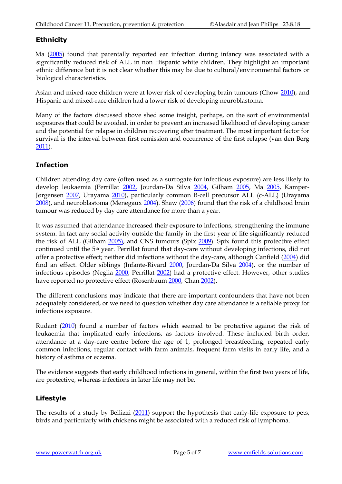## **Ethnicity**

Ma [\(2005\)](http://www.ncbi.nlm.nih.gov/pubmed/16103439) found that parentally reported ear infection during infancy was associated with a significantly reduced risk of ALL in non Hispanic white children. They highlight an important ethnic difference but it is not clear whether this may be due to cultural/environmental factors or biological characteristics.

Asian and mixed-race children were at lower risk of developing brain tumours (Chow [2010\)](http://www.ncbi.nlm.nih.gov/pubmed/20564410), and Hispanic and mixed-race children had a lower risk of developing neuroblastoma.

Many of the factors discussed above shed some insight, perhaps, on the sort of environmental exposures that could be avoided, in order to prevent an increased likelihood of developing cancer and the potential for relapse in children recovering after treatment. The most important factor for survival is the interval between first remission and occurrence of the first relapse (van den Berg [2011\)](http://www.ncbi.nlm.nih.gov/pubmed/21337680).

## **Infection**

Children attending day care (often used as a surrogate for infectious exposure) are less likely to develop leukaemia (Perrillat [2002,](http://www.ncbi.nlm.nih.gov/pubmed/11953850) Jourdan-Da Silva [2004,](http://www.ncbi.nlm.nih.gov/pubmed/14710221) Gilham [2005,](http://www.ncbi.nlm.nih.gov/pubmed/16103439) Ma 2005, Kamper-Jørgensen [2007,](http://www.ncbi.nlm.nih.gov/pubmed/17690702) Urayama [2010\)](http://www.ncbi.nlm.nih.gov/pubmed/20110276), particularly common B-cell precursor ALL (c-ALL) (Urayama [2008\)](http://www.ncbi.nlm.nih.gov/pubmed/18940822), and neuroblastoma (Menegaux [2004\)](http://www.ncbi.nlm.nih.gov/pubmed/15105177). Shaw [\(2006\)](http://www.ncbi.nlm.nih.gov/pubmed/17111258?ordinalpos=11&itool=EntrezSystem2.PEntrez.Pubmed.Pubmed_ResultsPanel.Pubmed_DefaultReportPanel.Pubmed_RVDocSum) found that the risk of a childhood brain tumour was reduced by day care attendance for more than a year.

It was assumed that attendance increased their exposure to infections, strengthening the immune system. In fact any social activity outside the family in the first year of life significantly reduced the risk of ALL (Gilham [2005\),](http://www.ncbi.nlm.nih.gov/pubmed/15849205) and CNS tumours (Spix [2009\)](http://www.ncbi.nlm.nih.gov/pubmed/19890788). Spix found this protective effect continued until the 5th year. Perrillat found that day-care without developing infections, did not offer a protective effect; neither did infections without the day-care, although Canfield [\(2004\)](http://www.ncbi.nlm.nih.gov/pubmed/15520821) did find an effect. Older siblings (Infante-Rivard [2000,](http://www.ncbi.nlm.nih.gov/pubmed/11076669) Jourdan-Da Silva [2004\)](http://www.ncbi.nlm.nih.gov/pubmed/14710221), or the number of infectious episodes *(*Neglia [2000,](http://www.ncbi.nlm.nih.gov/pubmed/10638995) Perrillat [2002\)](http://www.ncbi.nlm.nih.gov/pubmed/11953850) had a protective effect. However, other studies have reported no protective effect (Rosenbaum [2000,](http://www.ncbi.nlm.nih.gov/pubmed/11130619) Cha[n 2002\)](http://www.ncbi.nlm.nih.gov/pubmed/12060313).

The different conclusions may indicate that there are important confounders that have not been adequately considered, or we need to question whether day care attendance is a reliable proxy for infectious exposure.

Rudant [\(2010\)](http://www.ncbi.nlm.nih.gov/pubmed/20807738) found a number of factors which seemed to be protective against the risk of leukaemia that implicated early infections, as factors involved. These included birth order, attendance at a day-care centre before the age of 1, prolonged breastfeeding, repeated early common infections, regular contact with farm animals, frequent farm visits in early life, and a history of asthma or eczema.

The evidence suggests that early childhood infections in general, within the first two years of life, are protective, whereas infections in later life may not be.

## **Lifestyle**

The results of a study by Bellizzi [\(2011\)](http://www.ncbi.nlm.nih.gov/pubmed/21153695) support the hypothesis that early-life exposure to pets, birds and particularly with chickens might be associated with a reduced risk of lymphoma.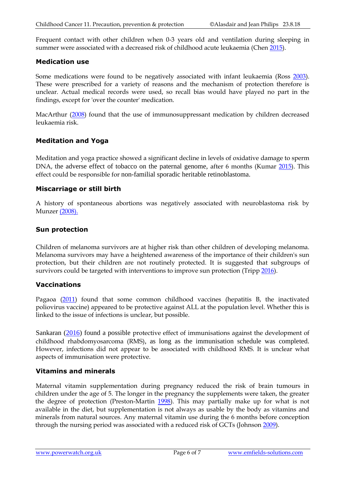Frequent contact with other children when 0-3 years old and ventilation during sleeping in summer were associated with a decreased risk of childhood acute leukaemia (Chen [2015\)](http://www.ncbi.nlm.nih.gov/pubmed/26733137).

#### **Medication use**

Some medications were found to be negatively associated with infant leukaemia (Ross [2003\)](http://www.ncbi.nlm.nih.gov/pubmed/12946039). These were prescribed for a variety of reasons and the mechanism of protection therefore is unclear. Actual medical records were used, so recall bias would have played no part in the findings, except for 'over the counter' medication.

MacArthur [\(2008\)](http://www.ncbi.nlm.nih.gov/pubmed/18079130) found that the use of immunosuppressant medication by children decreased leukaemia risk.

#### **Meditation and Yoga**

Meditation and yoga practice showed a significant decline in levels of oxidative damage to sperm DNA, the adverse effect of tobacco on the paternal genome, after 6 months (Kumar [2015\)](http://www.ncbi.nlm.nih.gov/pubmed/26514476). This effect could be responsible for non-familial sporadic heritable retinoblastoma.

#### **Miscarriage or still birth**

A history of spontaneous abortions was negatively associated with neuroblastoma risk by Munze[r \(2008\).](http://www.ncbi.nlm.nih.gov/pubmed/18042376?ordinalpos=2&itool=EntrezSystem2.PEntrez.Pubmed.Pubmed_ResultsPanel.Pubmed_RVDocSum)

#### **Sun protection**

Children of melanoma survivors are at higher risk than other children of developing melanoma. Melanoma survivors may have a heightened awareness of the importance of their children's sun protection, but their children are not routinely protected. It is suggested that subgroups of survivors could be targeted with interventions to improve sun protection (Trip[p 2016\)](https://www.ncbi.nlm.nih.gov/pubmed/27067306).

#### **Vaccinations**

Pagaoa [\(2011\)](http://www.ncbi.nlm.nih.gov/pubmed/21227448%20) found that some common childhood vaccines (hepatitis B, the inactivated poliovirus vaccine) appeared to be protective against ALL at the population level. Whether this is linked to the issue of infections is unclear, but possible.

Sankaran [\(2016\)](https://www.ncbi.nlm.nih.gov/pubmed/27198935) found a possible protective effect of immunisations against the development of childhood rhabdomyosarcoma (RMS), as long as the immunisation schedule was completed. However, infections did not appear to be associated with childhood RMS. It is unclear what aspects of immunisation were protective.

#### **Vitamins and minerals**

Maternal vitamin supplementation during pregnancy reduced the risk of brain tumours in children under the age of 5. The longer in the pregnancy the supplements were taken, the greater the degree of protection (Preston-Martin [1998\)](http://www.ncbi.nlm.nih.gov/pubmed/9646053?ordinalpos=74&itool=EntrezSystem2.PEntrez.Pubmed.Pubmed_ResultsPanel.Pubmed_DefaultReportPanel.Pubmed_RVDocSum). This may partially make up for what is not available in the diet, but supplementation is not always as usable by the body as vitamins and minerals from natural sources. Any maternal vitamin use during the 6 months before conception through the nursing period was associated with a reduced risk of GCTs (Johnso[n 2009\)](http://www.ncbi.nlm.nih.gov/pubmed/19755653).